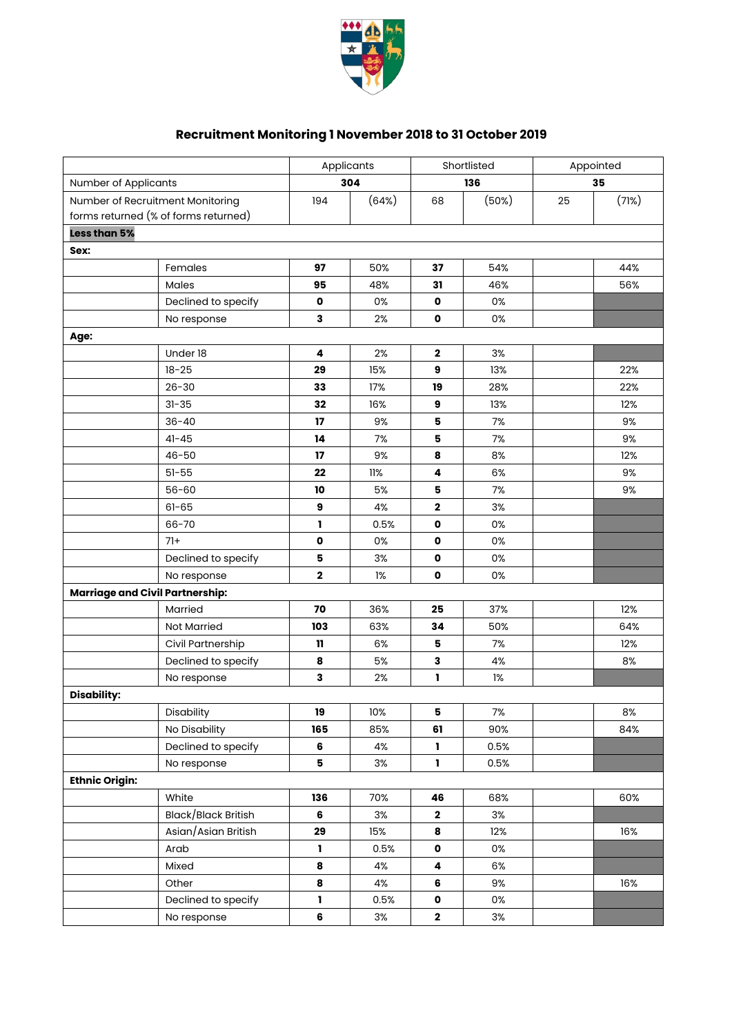

## **Recruitment Monitoring 1 November 2018 to 31 October 2019**

|                                        |                     | Applicants    |            | Shortlisted  |       | Appointed |       |
|----------------------------------------|---------------------|---------------|------------|--------------|-------|-----------|-------|
| Number of Applicants                   |                     |               | 304<br>136 |              | 35    |           |       |
| Number of Recruitment Monitoring       |                     | 194           | (64%)      | 68           | (50%) | 25        | (71%) |
| forms returned (% of forms returned)   |                     |               |            |              |       |           |       |
| Less than 5%                           |                     |               |            |              |       |           |       |
| Sex:                                   |                     |               |            |              |       |           |       |
|                                        | Females             | 97            | 50%        | 37           | 54%   |           | 44%   |
|                                        | Males               | 95            | 48%        | 31           | 46%   |           | 56%   |
|                                        | Declined to specify | $\mathbf o$   | 0%         | $\mathbf{o}$ | 0%    |           |       |
|                                        | No response         | 3             | 2%         | $\mathbf{o}$ | 0%    |           |       |
| Age:                                   |                     |               |            |              |       |           |       |
|                                        | Under 18            | 4             | 2%         | $\mathbf{2}$ | 3%    |           |       |
|                                        | $18 - 25$           | 29            | 15%        | 9            | 13%   |           | 22%   |
|                                        | $26 - 30$           | 33            | 17%        | 19           | 28%   |           | 22%   |
|                                        | $31 - 35$           | 32            | 16%        | 9            | 13%   |           | 12%   |
|                                        | $36 - 40$           | 17            | 9%         | 5            | 7%    |           | 9%    |
|                                        | $41 - 45$           | 14            | 7%         | 5            | 7%    |           | 9%    |
|                                        | 46-50               | 17            | 9%         | 8            | 8%    |           | 12%   |
|                                        | $51 - 55$           | 22            | 11%        | 4            | 6%    |           | 9%    |
|                                        | $56 - 60$           | 10            | 5%         | 5            | 7%    |           | 9%    |
|                                        | $61 - 65$           | 9             | 4%         | $\mathbf{2}$ | 3%    |           |       |
|                                        | 66-70               | L             | 0.5%       | 0            | 0%    |           |       |
|                                        | $71+$               | $\mathbf 0$   | 0%         | 0            | 0%    |           |       |
|                                        | Declined to specify | 5             | 3%         | $\mathbf o$  | 0%    |           |       |
|                                        | No response         | $\mathbf 2$   | 1%         | $\mathbf{o}$ | 0%    |           |       |
| <b>Marriage and Civil Partnership:</b> |                     |               |            |              |       |           |       |
|                                        | Married             | 70            | 36%        | 25           | 37%   |           | 12%   |
|                                        | <b>Not Married</b>  | 103           | 63%        | 34           | 50%   |           | 64%   |
|                                        | Civil Partnership   | $\mathbf{11}$ | 6%         | 5            | 7%    |           | 12%   |
|                                        | Declined to specify | 8             | 5%         | 3            | 4%    |           | 8%    |
|                                        | No response         | 3             | 2%         | L            | 1%    |           |       |
| <b>Disability:</b>                     |                     |               |            |              |       |           |       |
|                                        | Disability          | 19            | 10%        | 5            | 7%    |           | 8%    |
|                                        | No Disability       | 165           | 85%        | 61           | 90%   |           | 84%   |
|                                        | Declined to specify | 6             | 4%         | L            | 0.5%  |           |       |
|                                        | No response         | 5             | 3%         | 1            | 0.5%  |           |       |
| <b>Ethnic Origin:</b>                  |                     |               |            |              |       |           |       |
|                                        | White               | 136           | 70%        | 46           | 68%   |           | 60%   |
|                                        | Black/Black British | 6             | 3%         | $\mathbf{2}$ | 3%    |           |       |
|                                        | Asian/Asian British | 29            | 15%        | 8            | 12%   |           | 16%   |
|                                        | Arab                | L.            | 0.5%       | $\mathbf 0$  | 0%    |           |       |
|                                        | Mixed               | 8             | 4%         | 4            | 6%    |           |       |
|                                        | Other               | 8             | 4%         | 6            | 9%    |           | 16%   |
|                                        | Declined to specify | L             | 0.5%       | $\mathbf o$  | 0%    |           |       |
|                                        | No response         | 6             | $3\%$      | $\mathbf{2}$ | 3%    |           |       |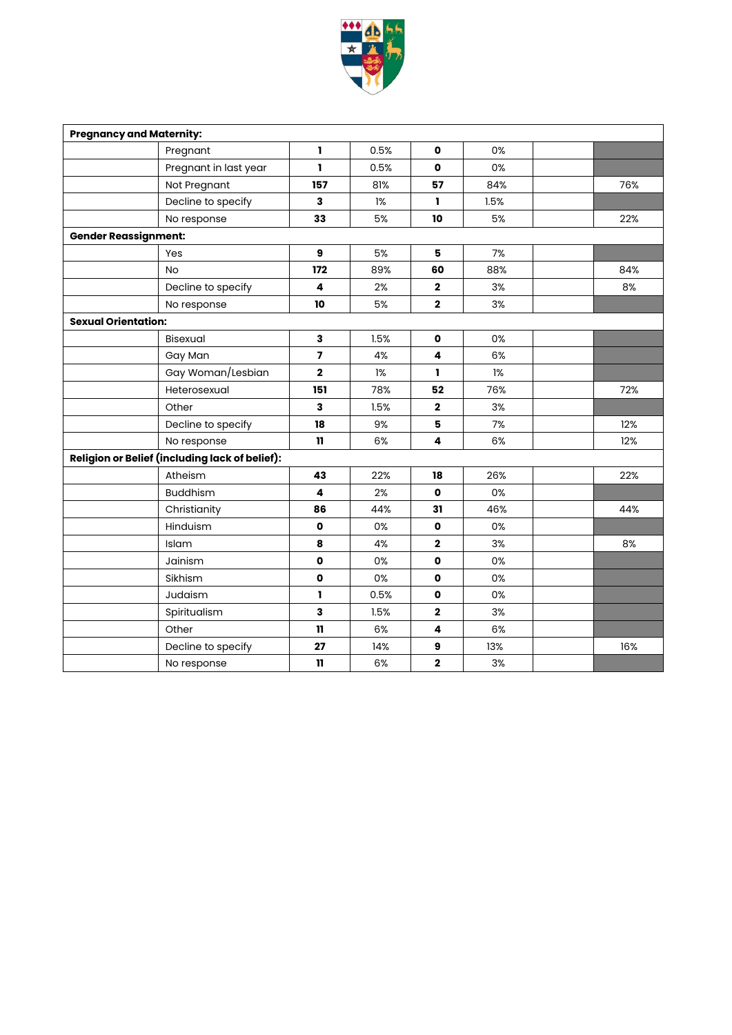

| <b>Pregnancy and Maternity:</b>                       |                       |                         |      |                         |      |  |     |
|-------------------------------------------------------|-----------------------|-------------------------|------|-------------------------|------|--|-----|
|                                                       | Pregnant              | I.                      | 0.5% | $\mathbf{o}$            | 0%   |  |     |
|                                                       | Pregnant in last year | 1                       | 0.5% | $\mathbf{o}$            | 0%   |  |     |
|                                                       | Not Pregnant          | 157                     | 81%  | 57                      | 84%  |  | 76% |
|                                                       | Decline to specify    | 3                       | 1%   | ı                       | 1.5% |  |     |
|                                                       | No response           | 33                      | 5%   | 10                      | 5%   |  | 22% |
| <b>Gender Reassignment:</b>                           |                       |                         |      |                         |      |  |     |
|                                                       | Yes                   | 9                       | 5%   | 5                       | 7%   |  |     |
|                                                       | <b>No</b>             | 172                     | 89%  | 60                      | 88%  |  | 84% |
|                                                       | Decline to specify    | 4                       | 2%   | $\mathbf 2$             | 3%   |  | 8%  |
|                                                       | No response           | 10                      | 5%   | $\mathbf 2$             | 3%   |  |     |
| <b>Sexual Orientation:</b>                            |                       |                         |      |                         |      |  |     |
|                                                       | Bisexual              | 3                       | 1.5% | $\mathbf{o}$            | 0%   |  |     |
|                                                       | Gay Man               | $\overline{\mathbf{z}}$ | 4%   | $\overline{\mathbf{4}}$ | 6%   |  |     |
|                                                       | Gay Woman/Lesbian     | $\mathbf 2$             | 1%   | ı.                      | 1%   |  |     |
|                                                       | Heterosexual          | 151                     | 78%  | 52                      | 76%  |  | 72% |
|                                                       | Other                 | 3                       | 1.5% | $\mathbf{2}$            | 3%   |  |     |
|                                                       | Decline to specify    | 18                      | 9%   | 5                       | 7%   |  | 12% |
|                                                       | No response           | 11                      | 6%   | 4                       | 6%   |  | 12% |
| <b>Religion or Belief (including lack of belief):</b> |                       |                         |      |                         |      |  |     |
|                                                       | Atheism               | 43                      | 22%  | 18                      | 26%  |  | 22% |
|                                                       | <b>Buddhism</b>       | 4                       | 2%   | $\mathbf{o}$            | 0%   |  |     |
|                                                       | Christianity          | 86                      | 44%  | 31                      | 46%  |  | 44% |
|                                                       | Hinduism              | $\mathbf{o}$            | 0%   | $\mathbf{o}$            | 0%   |  |     |
|                                                       | Islam                 | 8                       | 4%   | $\mathbf{2}$            | 3%   |  | 8%  |
|                                                       | Jainism               | $\mathbf{o}$            | 0%   | $\mathbf{o}$            | 0%   |  |     |
|                                                       | Sikhism               | $\mathbf 0$             | 0%   | $\mathbf{o}$            | 0%   |  |     |
|                                                       | Judaism               | ı.                      | 0.5% | $\mathbf{o}$            | 0%   |  |     |
|                                                       | Spiritualism          | 3                       | 1.5% | $\mathbf{2}$            | 3%   |  |     |
|                                                       | Other                 | $\mathbf{u}$            | 6%   | $\overline{\mathbf{4}}$ | 6%   |  |     |
|                                                       | Decline to specify    | 27                      | 14%  | 9                       | 13%  |  | 16% |
|                                                       | No response           | $\mathbf{u}$            | 6%   | $\mathbf 2$             | 3%   |  |     |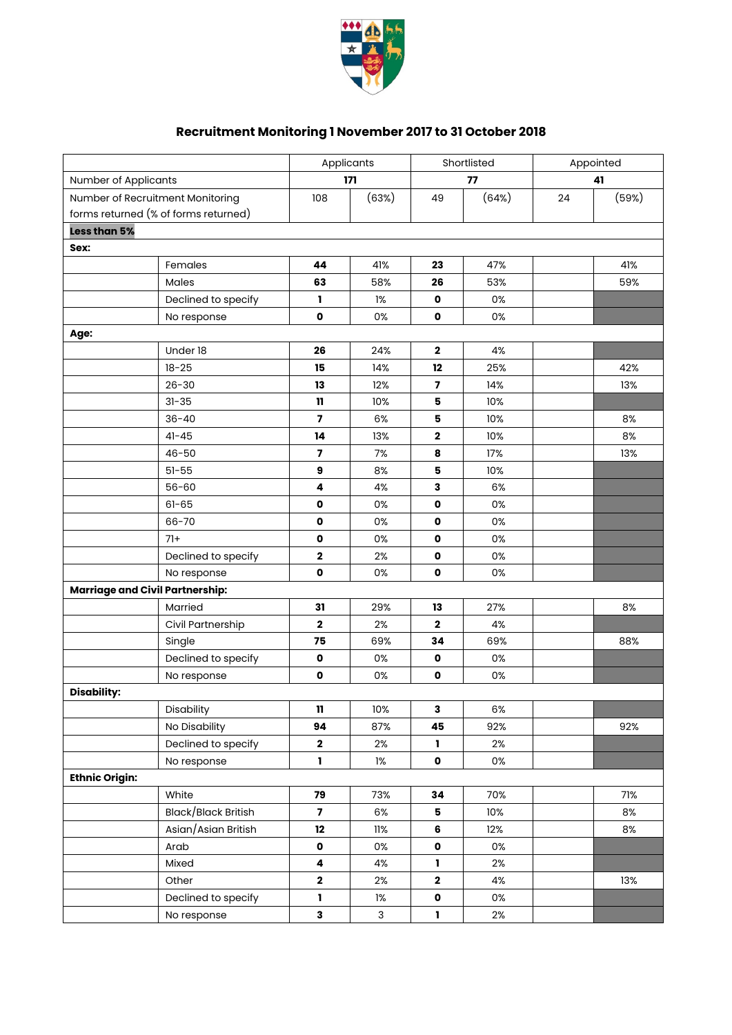

## **Recruitment Monitoring 1 November 2017 to 31 October 2018**

|                                        |                     | Applicants     |           | Shortlisted             |       | Appointed |       |
|----------------------------------------|---------------------|----------------|-----------|-------------------------|-------|-----------|-------|
| Number of Applicants                   |                     |                | 171<br>77 |                         | 41    |           |       |
| Number of Recruitment Monitoring       |                     | 108            | (63%)     | 49                      | (64%) | 24        | (59%) |
| forms returned (% of forms returned)   |                     |                |           |                         |       |           |       |
| Less than 5%                           |                     |                |           |                         |       |           |       |
| Sex:                                   |                     |                |           |                         |       |           |       |
|                                        | Females             | 44             | 41%       | 23                      | 47%   |           | 41%   |
|                                        | Males               | 63             | 58%       | 26                      | 53%   |           | 59%   |
|                                        | Declined to specify | L              | 1%        | 0                       | 0%    |           |       |
|                                        | No response         | $\mathbf{o}$   | 0%        | $\mathbf 0$             | 0%    |           |       |
| Age:                                   |                     |                |           |                         |       |           |       |
|                                        | Under 18            | 26             | 24%       | $\mathbf{2}$            | 4%    |           |       |
|                                        | $18 - 25$           | 15             | 14%       | 12                      | 25%   |           | 42%   |
|                                        | $26 - 30$           | 13             | 12%       | $\overline{\mathbf{z}}$ | 14%   |           | 13%   |
|                                        | $31 - 35$           | 11             | 10%       | 5                       | 10%   |           |       |
|                                        | $36 - 40$           | 7              | 6%        | 5                       | 10%   |           | 8%    |
|                                        | $41 - 45$           | 14             | 13%       | 2                       | 10%   |           | 8%    |
|                                        | $46 - 50$           | 7              | 7%        | 8                       | 17%   |           | 13%   |
|                                        | $51 - 55$           | 9              | 8%        | 5                       | 10%   |           |       |
|                                        | $56 - 60$           | 4              | 4%        | 3                       | 6%    |           |       |
|                                        | $61 - 65$           | $\mathbf 0$    | 0%        | $\mathbf 0$             | 0%    |           |       |
|                                        | 66-70               | $\mathbf 0$    | 0%        | $\mathbf 0$             | 0%    |           |       |
|                                        | $71+$               | $\mathbf o$    | 0%        | $\mathbf 0$             | 0%    |           |       |
|                                        | Declined to specify | 2              | 2%        | $\mathbf 0$             | 0%    |           |       |
|                                        | No response         | $\mathbf{o}$   | 0%        | 0                       | 0%    |           |       |
| <b>Marriage and Civil Partnership:</b> |                     |                |           |                         |       |           |       |
|                                        | Married             | 31             | 29%       | 13                      | 27%   |           | 8%    |
|                                        | Civil Partnership   | $\mathbf 2$    | 2%        | $\mathbf 2$             | 4%    |           |       |
|                                        | Single              | 75             | 69%       | 34                      | 69%   |           | 88%   |
|                                        | Declined to specify | $\mathbf o$    | 0%        | $\mathbf 0$             | 0%    |           |       |
|                                        | No response         | $\mathbf 0$    | 0%        | $\pmb{\mathsf{o}}$      | 0%    |           |       |
| <b>Disability:</b>                     |                     |                |           |                         |       |           |       |
|                                        | Disability          | 11             | 10%       | 3                       | 6%    |           |       |
|                                        | No Disability       | 94             | 87%       | 45                      | 92%   |           | 92%   |
|                                        | Declined to specify | $\mathbf 2$    | 2%        | L.                      | 2%    |           |       |
|                                        | No response         | $\mathbf{I}$   | 1%        | $\mathbf{o}$            | 0%    |           |       |
| <b>Ethnic Origin:</b>                  |                     |                |           |                         |       |           |       |
|                                        | White               | 79             | 73%       | 34                      | 70%   |           | 71%   |
|                                        | Black/Black British | $\overline{7}$ | 6%        | 5                       | 10%   |           | 8%    |
|                                        | Asian/Asian British | 12             | 11%       | 6                       | 12%   |           | 8%    |
|                                        | Arab                | $\mathbf 0$    | 0%        | 0                       | 0%    |           |       |
|                                        | Mixed               | 4              | 4%        | 1                       | 2%    |           |       |
|                                        | Other               | $\mathbf 2$    | 2%        | $\mathbf 2$             | 4%    |           | 13%   |
|                                        | Declined to specify | 1              | 1%        | 0                       | 0%    |           |       |
|                                        | No response         | 3              | 3         | L                       | 2%    |           |       |